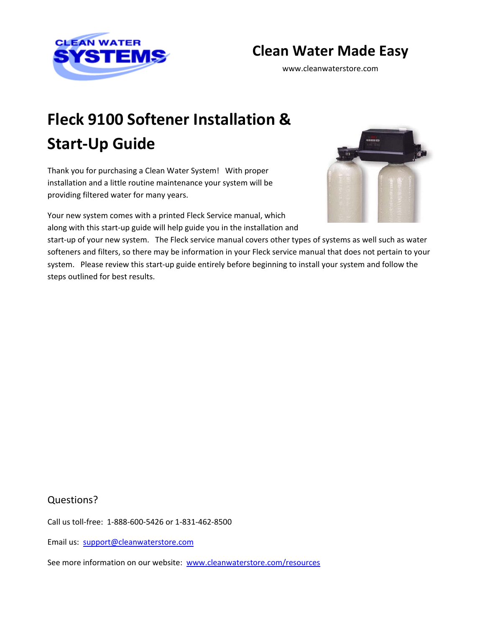

## **Clean Water Made Easy**

www.cleanwaterstore.com

# **Fleck 9100 Softener Installation & Start‐Up Guide**

Thank you for purchasing a Clean Water System! With proper installation and a little routine maintenance your system will be providing filtered water for many years.

Your new system comes with a printed Fleck Service manual, which along with this start‐up guide will help guide you in the installation and



start-up of your new system. The Fleck service manual covers other types of systems as well such as water softeners and filters, so there may be information in your Fleck service manual that does not pertain to your system. Please review this start-up guide entirely before beginning to install your system and follow the steps outlined for best results.

### Questions?

Call us toll‐free: 1‐888‐600‐5426 or 1‐831‐462‐8500

Email us: support@cleanwaterstore.com

See more information on our website: www.cleanwaterstore.com/resources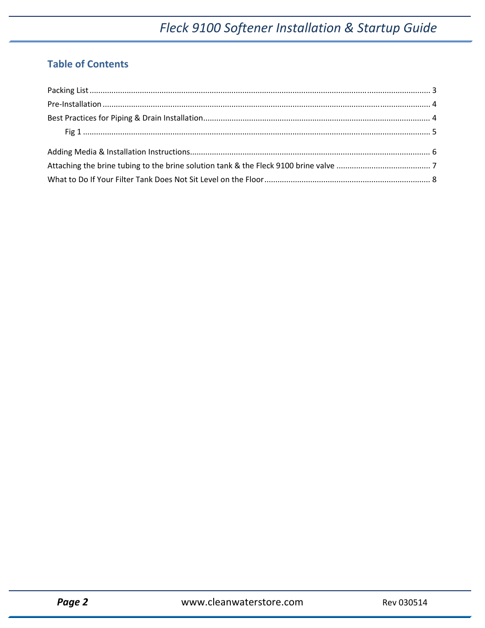### **Table of Contents**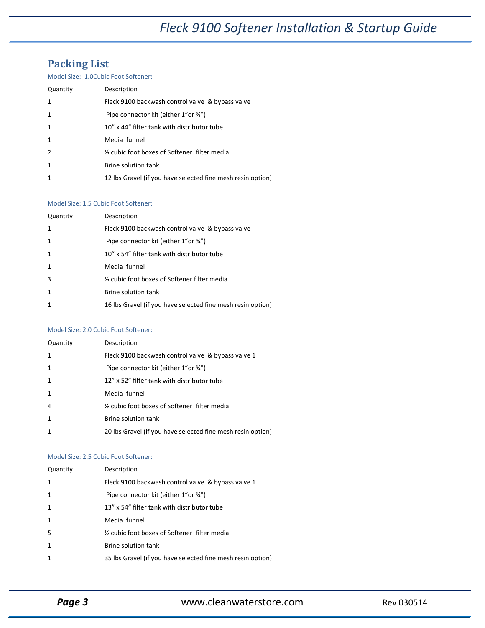### **Packing List**

#### Model Size: 1.0Cubic Foot Softener:

| Quantity       | Description                                                 |
|----------------|-------------------------------------------------------------|
| $\mathbf 1$    | Fleck 9100 backwash control valve & bypass valve            |
| 1              | Pipe connector kit (either 1"or 34")                        |
| $\mathbf{1}$   | 10" x 44" filter tank with distributor tube                 |
| $\mathbf{1}$   | Media funnel                                                |
| $\overline{2}$ | 1/2 cubic foot boxes of Softener filter media               |
| $\mathbf{1}$   | Brine solution tank                                         |
| $\mathbf 1$    | 12 lbs Gravel (if you have selected fine mesh resin option) |

#### Model Size: 1.5 Cubic Foot Softener:

| Quantity     | Description                                                 |
|--------------|-------------------------------------------------------------|
| $\mathbf{1}$ | Fleck 9100 backwash control valve & bypass valve            |
| $\mathbf{1}$ | Pipe connector kit (either 1"or 34")                        |
| $\mathbf{1}$ | 10" x 54" filter tank with distributor tube                 |
| $\mathbf{1}$ | Media funnel                                                |
| 3            | 1/2 cubic foot boxes of Softener filter media               |
| $\mathbf 1$  | Brine solution tank                                         |
| $\mathbf 1$  | 16 lbs Gravel (if you have selected fine mesh resin option) |

#### Model Size: 2.0 Cubic Foot Softener:

| Quantity     | Description                                                 |
|--------------|-------------------------------------------------------------|
| 1            | Fleck 9100 backwash control valve & bypass valve 1          |
| 1            | Pipe connector kit (either 1"or 34")                        |
| 1            | 12" x 52" filter tank with distributor tube                 |
| 1            | Media funnel                                                |
| 4            | 1/2 cubic foot boxes of Softener filter media               |
| $\mathbf{1}$ | Brine solution tank                                         |
| 1            | 20 lbs Gravel (if you have selected fine mesh resin option) |

#### Model Size: 2.5 Cubic Foot Softener:

| Quantity     | Description                                                 |
|--------------|-------------------------------------------------------------|
| $\mathbf 1$  | Fleck 9100 backwash control valve & bypass valve 1          |
| 1            | Pipe connector kit (either 1"or 34")                        |
| $\mathbf{1}$ | 13" x 54" filter tank with distributor tube                 |
| $\mathbf{1}$ | Media funnel                                                |
| -5           | 1/2 cubic foot boxes of Softener filter media               |
| $\mathbf 1$  | Brine solution tank                                         |
| $\mathbf 1$  | 35 lbs Gravel (if you have selected fine mesh resin option) |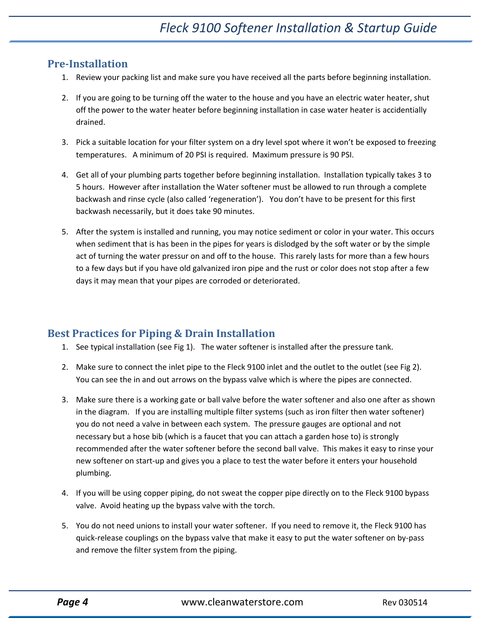### **Pre‐Installation**

- 1. Review your packing list and make sure you have received all the parts before beginning installation.
- 2. If you are going to be turning off the water to the house and you have an electric water heater, shut off the power to the water heater before beginning installation in case water heater is accidentially drained.
- 3. Pick a suitable location for your filter system on a dry level spot where it won't be exposed to freezing temperatures. A minimum of 20 PSI is required. Maximum pressure is 90 PSI.
- 4. Get all of your plumbing parts together before beginning installation. Installation typically takes 3 to 5 hours. However after installation the Water softener must be allowed to run through a complete backwash and rinse cycle (also called 'regeneration'). You don't have to be present for this first backwash necessarily, but it does take 90 minutes.
- 5. After the system is installed and running, you may notice sediment or color in your water. This occurs when sediment that is has been in the pipes for years is dislodged by the soft water or by the simple act of turning the water pressur on and off to the house. This rarely lasts for more than a few hours to a few days but if you have old galvanized iron pipe and the rust or color does not stop after a few days it may mean that your pipes are corroded or deteriorated.

### **Best Practices for Piping & Drain Installation**

- 1. See typical installation (see Fig 1). The water softener is installed after the pressure tank.
- 2. Make sure to connect the inlet pipe to the Fleck 9100 inlet and the outlet to the outlet (see Fig 2). You can see the in and out arrows on the bypass valve which is where the pipes are connected.
- 3. Make sure there is a working gate or ball valve before the water softener and also one after as shown in the diagram. If you are installing multiple filter systems (such as iron filter then water softener) you do not need a valve in between each system. The pressure gauges are optional and not necessary but a hose bib (which is a faucet that you can attach a garden hose to) is strongly recommended after the water softener before the second ball valve. This makes it easy to rinse your new softener on start‐up and gives you a place to test the water before it enters your household plumbing.
- 4. If you will be using copper piping, do not sweat the copper pipe directly on to the Fleck 9100 bypass valve. Avoid heating up the bypass valve with the torch.
- 5. You do not need unions to install your water softener. If you need to remove it, the Fleck 9100 has quick‐release couplings on the bypass valve that make it easy to put the water softener on by‐pass and remove the filter system from the piping.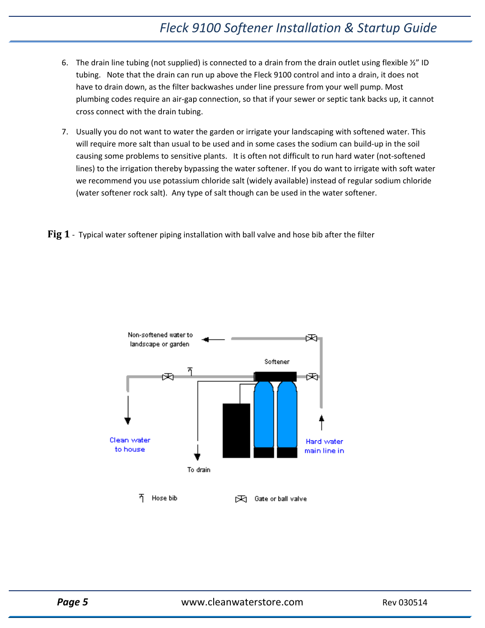- 6. The drain line tubing (not supplied) is connected to a drain from the drain outlet using flexible  $\frac{1}{2}$ " ID tubing. Note that the drain can run up above the Fleck 9100 control and into a drain, it does not have to drain down, as the filter backwashes under line pressure from your well pump. Most plumbing codes require an air‐gap connection, so that if your sewer or septic tank backs up, it cannot cross connect with the drain tubing.
- 7. Usually you do not want to water the garden or irrigate your landscaping with softened water. This will require more salt than usual to be used and in some cases the sodium can build-up in the soil causing some problems to sensitive plants. It is often not difficult to run hard water (not‐softened lines) to the irrigation thereby bypassing the water softener. If you do want to irrigate with soft water we recommend you use potassium chloride salt (widely available) instead of regular sodium chloride (water softener rock salt). Any type of salt though can be used in the water softener.
- **Fig 1** ‐ Typical water softener piping installation with ball valve and hose bib after the filter

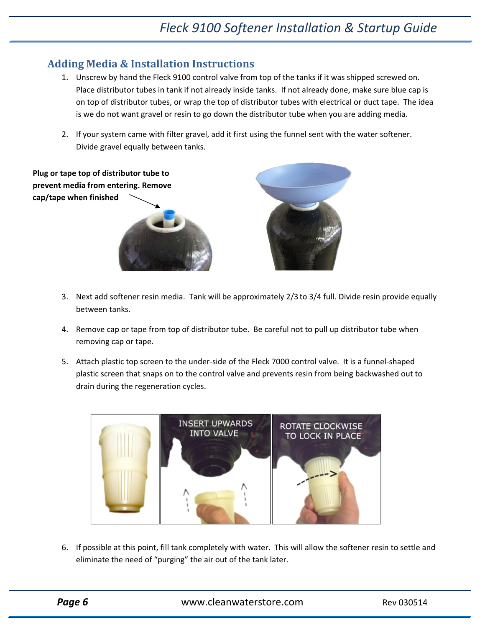### **Adding Media & Installation Instructions**

- 1. Unscrew by hand the Fleck 9100 control valve from top of the tanks if it was shipped screwed on. Place distributor tubes in tank if not already inside tanks. If not already done, make sure blue cap is on top of distributor tubes, or wrap the top of distributor tubes with electrical or duct tape. The idea is we do not want gravel or resin to go down the distributor tube when you are adding media.
- 2. If your system came with filter gravel, add it first using the funnel sent with the water softener. Divide gravel equally between tanks.

**Plug or tape top of distributor tube to prevent media from entering. Remove cap/tape when finished**

- 3. Next add softener resin media. Tank will be approximately 2/3 to 3/4 full. Divide resin provide equally between tanks.
- 4. Remove cap or tape from top of distributor tube. Be careful not to pull up distributor tube when removing cap or tape.
- 5. Attach plastic top screen to the under-side of the Fleck 7000 control valve. It is a funnel-shaped plastic screen that snaps on to the control valve and prevents resin from being backwashed out to drain during the regeneration cycles.



6. If possible at this point, fill tank completely with water. This will allow the softener resin to settle and eliminate the need of "purging" the air out of the tank later.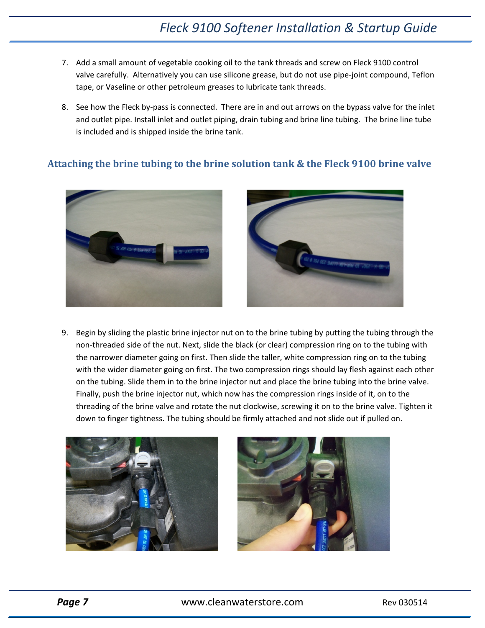- 7. Add a small amount of vegetable cooking oil to the tank threads and screw on Fleck 9100 control valve carefully. Alternatively you can use silicone grease, but do not use pipe-joint compound, Teflon tape, or Vaseline or other petroleum greases to lubricate tank threads.
- 8. See how the Fleck by-pass is connected. There are in and out arrows on the bypass valve for the inlet and outlet pipe. Install inlet and outlet piping, drain tubing and brine line tubing. The brine line tube is included and is shipped inside the brine tank.

### **Attaching the brine tubing to the brine solution tank & the Fleck 9100 brine valve**



9. Begin by sliding the plastic brine injector nut on to the brine tubing by putting the tubing through the non‐threaded side of the nut. Next, slide the black (or clear) compression ring on to the tubing with the narrower diameter going on first. Then slide the taller, white compression ring on to the tubing with the wider diameter going on first. The two compression rings should lay flesh against each other on the tubing. Slide them in to the brine injector nut and place the brine tubing into the brine valve. Finally, push the brine injector nut, which now has the compression rings inside of it, on to the threading of the brine valve and rotate the nut clockwise, screwing it on to the brine valve. Tighten it down to finger tightness. The tubing should be firmly attached and not slide out if pulled on.